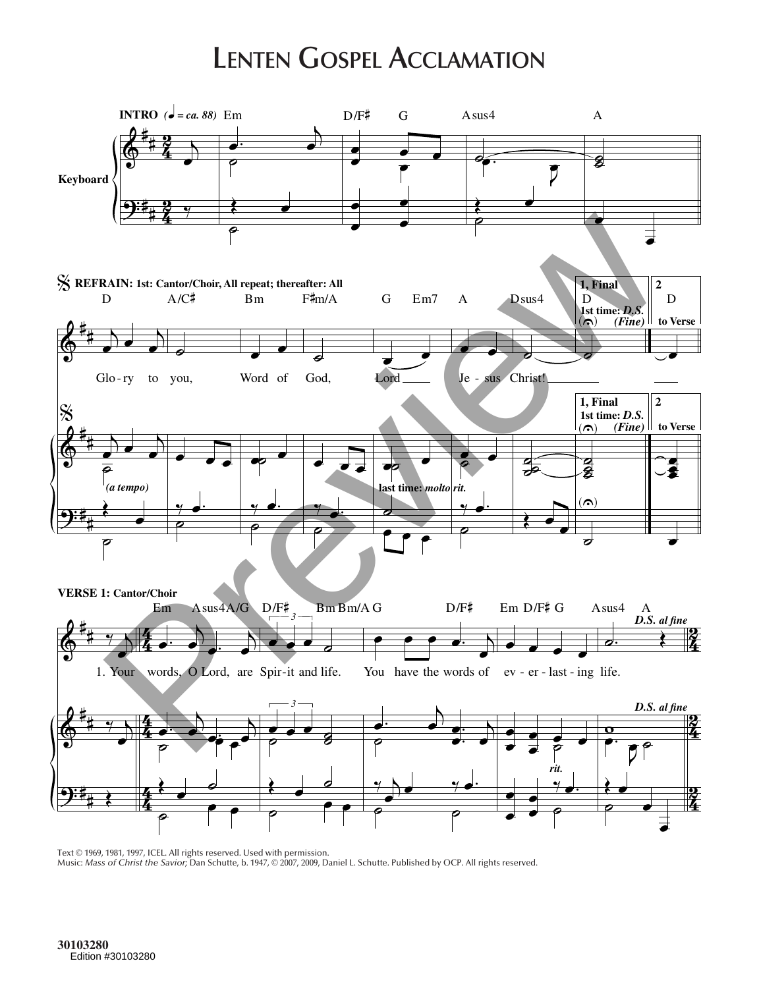## **Lenten Gospel Acclamation**



Text © 1969, 1981, 1997, ICEL. All rights reserved. Used with permission. Music: *Mass of Christ the Savior;* Dan Schutte, b. 1947, © 2007, 2009, Daniel L. Schutte. Published by OCP. All rights reserved.